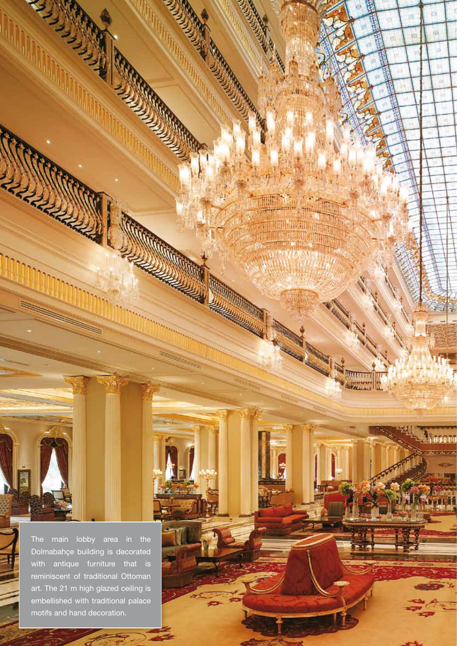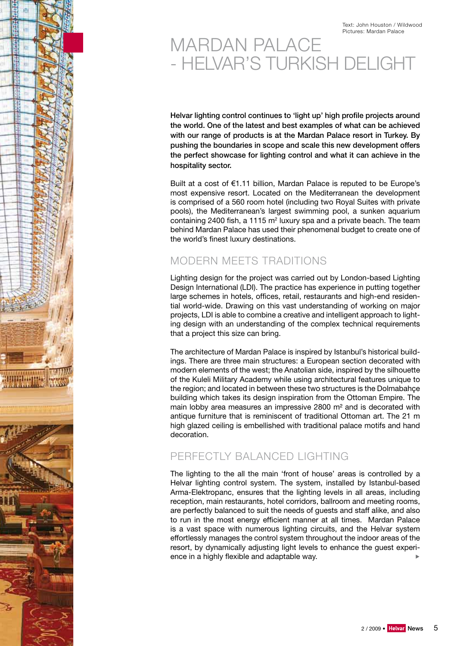# MARDAN PALACE - HELVAR'S TURKISH DELIGHT

Helvar lighting control continues to 'light up' high profile projects around the world. One of the latest and best examples of what can be achieved with our range of products is at the Mardan Palace resort in Turkey. By pushing the boundaries in scope and scale this new development offers the perfect showcase for lighting control and what it can achieve in the hospitality sector.

Built at a cost of €1.11 billion, Mardan Palace is reputed to be Europe's most expensive resort. Located on the Mediterranean the development is comprised of a 560 room hotel (including two Royal Suites with private pools), the Mediterranean's largest swimming pool, a sunken aquarium containing 2400 fish, a 1115  $m<sup>2</sup>$  luxury spa and a private beach. The team behind Mardan Palace has used their phenomenal budget to create one of the world's finest luxury destinations.

# MODERN MEETS TRADITIONS

Lighting design for the project was carried out by London-based Lighting Design International (LDI). The practice has experience in putting together large schemes in hotels, offices, retail, restaurants and high-end residential world-wide. Drawing on this vast understanding of working on major projects, LDI is able to combine a creative and intelligent approach to lighting design with an understanding of the complex technical requirements that a project this size can bring.

The architecture of Mardan Palace is inspired by Istanbul's historical buildings. There are three main structures: a European section decorated with modern elements of the west; the Anatolian side, inspired by the silhouette of the Kuleli Military Academy while using architectural features unique to the region; and located in between these two structures is the Dolmabahçe building which takes its design inspiration from the Ottoman Empire. The main lobby area measures an impressive 2800 m² and is decorated with antique furniture that is reminiscent of traditional Ottoman art. The 21 m high glazed ceiling is embellished with traditional palace motifs and hand decoration.

# PERFECTLY BALANCED LIGHTING

The lighting to the all the main 'front of house' areas is controlled by a Helvar lighting control system. The system, installed by Istanbul-based Arma-Elektropanc, ensures that the lighting levels in all areas, including reception, main restaurants, hotel corridors, ballroom and meeting rooms, are perfectly balanced to suit the needs of guests and staff alike, and also to run in the most energy efficient manner at all times. Mardan Palace is a vast space with numerous lighting circuits, and the Helvar system effortlessly manages the control system throughout the indoor areas of the resort, by dynamically adjusting light levels to enhance the guest experience in a highly flexible and adaptable way.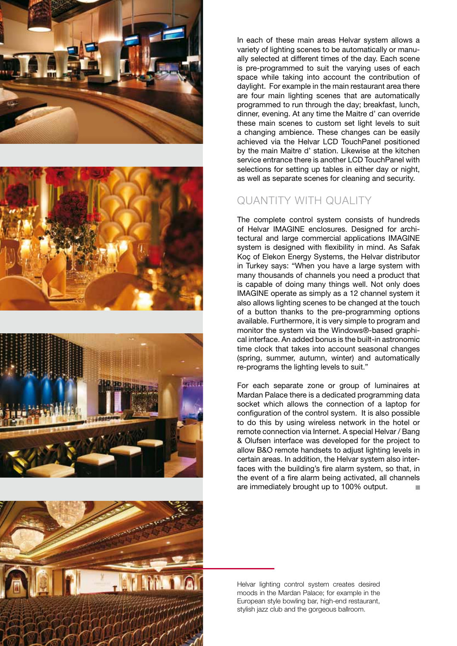







In each of these main areas Helvar system allows a variety of lighting scenes to be automatically or manually selected at different times of the day. Each scene is pre-programmed to suit the varying uses of each space while taking into account the contribution of daylight. For example in the main restaurant area there are four main lighting scenes that are automatically programmed to run through the day; breakfast, lunch, dinner, evening. At any time the Maitre d' can override these main scenes to custom set light levels to suit a changing ambience. These changes can be easily achieved via the Helvar LCD TouchPanel positioned by the main Maitre d' station. Likewise at the kitchen service entrance there is another LCD TouchPanel with selections for setting up tables in either day or night, as well as separate scenes for cleaning and security.

### QUANTITY WITH QUALITY

The complete control system consists of hundreds of Helvar IMAGINE enclosures. Designed for architectural and large commercial applications IMAGINE system is designed with flexibility in mind. As Safak Koç of Elekon Energy Systems, the Helvar distributor in Turkey says: "When you have a large system with many thousands of channels you need a product that is capable of doing many things well. Not only does IMAGINE operate as simply as a 12 channel system it also allows lighting scenes to be changed at the touch of a button thanks to the pre-programming options available. Furthermore, it is very simple to program and monitor the system via the Windows®-based graphical interface. An added bonus is the built-in astronomic time clock that takes into account seasonal changes (spring, summer, autumn, winter) and automatically re-programs the lighting levels to suit."

For each separate zone or group of luminaires at Mardan Palace there is a dedicated programming data socket which allows the connection of a laptop for configuration of the control system. It is also possible to do this by using wireless network in the hotel or remote connection via Internet. A special Helvar / Bang & Olufsen interface was developed for the project to allow B&O remote handsets to adjust lighting levels in certain areas. In addition, the Helvar system also interfaces with the building's fire alarm system, so that, in the event of a fire alarm being activated, all channels are immediately brought up to 100% output.  $\mathcal{C}^{\mathcal{A}}$ 

Helvar lighting control system creates desired moods in the Mardan Palace; for example in the European style bowling bar, high-end restaurant, stylish jazz club and the gorgeous ballroom.